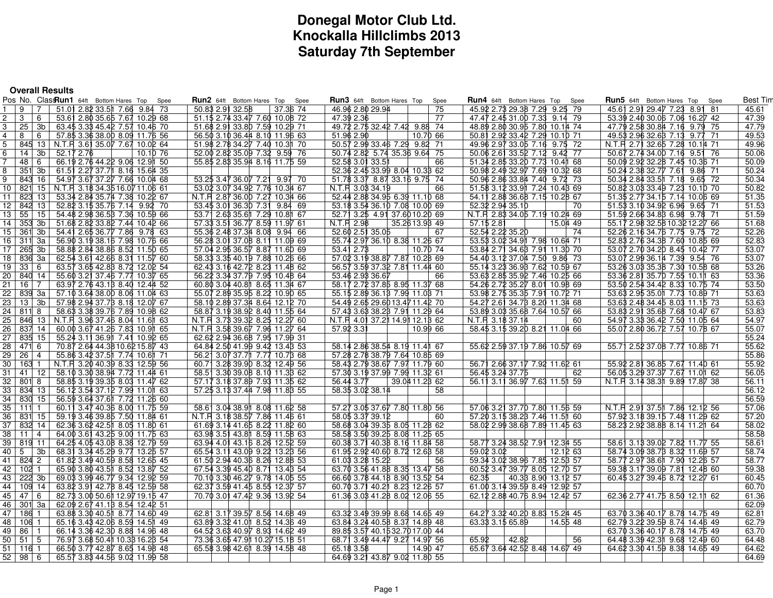# **Donegal Motor Club Ltd. Knockalla Hillclimbs 2013Saturday 7th September**

| <b>Overall Results</b>                                                                                            |                                                                  |                                                                  |                                                          |                                                                 |                 |
|-------------------------------------------------------------------------------------------------------------------|------------------------------------------------------------------|------------------------------------------------------------------|----------------------------------------------------------|-----------------------------------------------------------------|-----------------|
| Pos No. ClassRun1 64ft Bottom Hares Top                                                                           | <b>Run2</b> 64ft Bottom Hares Top Spee<br>Spee                   | <b>Run3</b> 64ft Bottom Hares Top<br>Spee                        | Run4 64ft Bottom Hares Top<br>Spee                       | <b>Run5</b> 64ft Bottom Hares Top Spee                          | <b>Best Tim</b> |
| 9<br>51.01 2.82 33.5 7.66 9.84 73<br>$\overline{7}$                                                               | 50.83 2.91 32.58<br>37.36 74                                     | 75<br>46.96 2.80 29.94                                           | 45.92 2.73 29.38 7.29 9.25 79                            | 45.61 2.91 29.47 7.23 8.91 81                                   | 45.61           |
| 3<br>6<br>53.61 2.80 35.65 7.67 10.29 68<br>2                                                                     | 51.15 2.74 33.47 7.60 10.08 72                                   | 47.39 2.36<br>77                                                 | 47.47 2.45 31.00 7.33 9.14 79                            | 53.39 2.40 30.06 7.06 16.27 42                                  | 47.39           |
| 25<br>3b<br>63.45 3.38 45.42 7.57 10.46 70<br>3                                                                   | 51.68 2.91 33.80 7.59 10.29 71                                   | 49.72 2.75 32.42 7.42 9.88 74                                    | 48.89 2.80 30.95 7.80 10.14 74                           | 47.79 2.58 30.84 7.16 9.79 75                                   | 47.79           |
| 57.85 3.36 38.00 8.09 11.76 56<br>4<br>8<br>6                                                                     | 56.50 3.10 36.44 8.10 11.96 63                                   | 51.96 2.90<br>10.70 66                                           | 50.81 2.92 33.42 7.29 10.10 71                           | 49.53 2.96 32.68 7.13 9.77 71                                   | 49.53           |
| 845 13 N.T.R 3.61 35.07 7.67 10.02 64                                                                             | 51.98 2.78 34.27 7.40 10.31 70                                   | 50.57 2.99 33.46 7.29 9.82 71                                    | 49.96 2.97 33.05 7.16 9.75 72                            | N.T.R 2.71 32.65 7.28 10.14 71                                  | 49.96           |
| 14<br>$3b$   52.17 2.76<br>10.10 76                                                                               | 52.00 2.82 35.09 7.32 9.59 76                                    | 50.74 2.82 5.74 35.36 9.64 75                                    | 50.06 2.61 33.52 7.12 9.42 77                            | 50.67 2.74 34.00 7.16 9.51 76                                   | 50.06           |
| 66.19 2.76 44.22 9.06 12.91 50<br>48<br>- 6                                                                       | 55.85 2.83 35.94 8.16 11.75 59                                   | 66<br>52.58 3.01 33.51                                           | 51.34 2.85 33.20 7.73 10.4 168                           | 50.09 2.92 32.28 7.45 10.36 71                                  | 50.09           |
| 351 3b<br>61.51 2.27 37.71 8.16 15.64 35<br>8                                                                     |                                                                  | 52.36 2.45 33.99 8.04 10.38 62                                   | 50.98 2.49 32.97 7.69 10.32 68                           | 50.24 2.38 32.77 7.61 9.86 71                                   | 50.24           |
| 843 16<br>54.97 3.67 37.27 7.66 10.04 68<br>9                                                                     | 53.25 3.47 36.07 7.21 9.97 70                                    | 51.78 3.37 8.87 33.16 9.75 74                                    | 50.96 2.86 33.84 7.40 9.72 73                            | 50.34 2.84 33.5 7.18 9.65 72                                    | 50.34           |
| 10 <sup>1</sup><br>821 15 N.T.R 3.18 34.35 16.07 11.06 61                                                         | 53.02 3.07 34.92 7.76 10.34 67                                   | 66<br>N.T.R 3.08 34.19                                           | 51.58 3.12 33.91 7.24 10.48 69                           | 50.82 3.03 33.49 7.23 10.10 70                                  | 50.82           |
| 823 13<br>53.34 2.84 35.74 7.38 10.22 67<br>11 <sup>1</sup>                                                       | N.T.R 2.87 36.00 7.27 10.34 66                                   | 52.44 2.88 34.95 6.39 11.10 68                                   | 54.11 2.88 36.68 7.15 10.28 67                           | 51.35 2.77 34.15 7.14 10.06 69                                  | 51.35           |
| 12   842 13  <br>52.82 3.15 35.76 7.14 9.92 70                                                                    | 53.45 3.01 36.30 7.31 9.84 69                                    | 53.18 3.54 36.10 7.08 10.00 69                                   | 52.32 2.94 35.10<br>70                                   | 51.53 3.10 34.92 6.96 9.65 71                                   | 51.53           |
| 55<br>13<br>15 <sup>1</sup><br>54.48 2.98 36.58 7.36 10.59 66                                                     | 53.71 2.63 35.61 7.29 10.81 67                                   | 52.71 3.25 4.91 37.60 10.20 69                                   | N.T.R 2.83 34.05 7.19 10.24 69                           | 51.59 2.66 34.88 6.98 9.78 71                                   | 51.59           |
| $353$ 3b<br>14<br>51.68 2.82 33.82 7.44 10.42 66                                                                  | 57.33 3.51 36.77 8.59 11.97 61                                   | N.T.R 2.98<br>35.2613.93 49                                      | 57.15 2.81<br>15.04 49                                   | 55.17 2.98 32.58 10.32 12.27 66                                 | 51.68           |
| 15 <br>361 3b<br>54.41 2.65 36.77 7.86 9.78 63<br>16   311   3a                                                   | 55.36 2.48 37.34 8.08 9.94 66                                    | 52.60 2.51 35.05<br>67<br>55.74 2.97 36.10 8.38 11.26 67         | 52.54 2.22 35.20<br>74<br>53.53 3.02 34.91 7.98 10.64 71 | 52.26 2.16 34.76 7.75 9.75 72<br>52.83 2.76 34.38 7.60 10.85 69 | 52.26<br>52.83  |
| 56.90 3.19 38.16 7.98 10.76 66<br>17 <sup>1</sup><br>265 3b<br>58.88 2.84 38.86 8.52 11.50 65                     | 56.28 3.01 37.08 8.11 11.09 69<br>57.04 2.95 36.57 8.87 11.60 69 | 10.70 74<br>53.41 2.73                                           | 53.84 2.71 34.68 7.91 11.30 70                           | 53.07 2.70 34.20 8.45 10.42 77                                  | 53.07           |
| 18 I<br>836 3a<br>62.54 3.61 42.66 8.31 11.57 60                                                                  | 58.33 3.35 40.19 7.88 10.26 66                                   | 57.02 3.19 38.87 7.87 10.28 69                                   | 54.40 3.12 37.04 7.50 9.86 73                            | 53.07 2.99 36.14 7.39 9.54 76                                   | 53.07           |
| 19 33 6<br>63.57 3.65 42.88 8.72 12.02 54                                                                         | 62.43 3.16 42.72 8.23 11.48 62                                   | 56.57 3.59 37.32 7.81 11.44 60                                   | 55.14 3.28 36.98 7.62 10.59 67                           | 53.26 3.08 35.38 7.30 10.58 68                                  | 53.26           |
| 20 <sup>1</sup><br>840 14<br>55.60 3.21 37.46 7.77 10.37 65                                                       | 56.22 3.34 37.79 7.95 10.48 64                                   | 53.46 2.93 36.67<br>66                                           | 53.63 2.85 35.92 7.46 10.25 66                           | 53.36 2.81 35.70 7.55 10.11 63                                  | 53.36           |
| 21  <br>$16 \mid 7$<br>63.97 2.76 43.18 8.40 12.44 52                                                             | 60.80 3.04 40.81 8.65 11.34 67                                   | 58.17 2.72 37.85 8.95 11.37 68                                   | 54.26 2.72 35.27 8.01 10.98 69                           | 53.50 2.54 34.42 8.33 10.75 74                                  | 53.50           |
| 22<br>839 3a<br>57.10 3.64 38.00 8.06 11.04 63                                                                    | 55.07 2.89 35.95 8.22 10.90 65                                   | 55.15 2.89 36.13 7.99 11.03 71                                   | 53.98 2.75 35.35 7.91 10.72 71                           | 53.63 2.95 35.0 1 7.73 10.89 71                                 | 53.63           |
| 23  <br>$13 \mid 3b \mid$<br>57.98 2.94 37.78 8.18 12.07 67                                                       | 58.10 2.89 37.34 8.64 12.12 70                                   | 54.49 2.65 29.60 13.47 11.42 70                                  | 54.27 2.61 34.78 8.20 11.34 68                           | 53.63 2.48 34.45 8.03 11.15 73                                  | 53.63           |
| 24 I<br>811 8<br>58.63 3.38 39.76 7.89 10.98 62                                                                   | 58.87 3.19 38.92 8.40 11.55 64                                   | 57.43 3.63 38.23 7.91 11.29 64                                   | 53.89 3.03 35.68 7.64 10.57 66                           | 53.83 2.91 35.68 7.68 10.47 67                                  | 53.83           |
| 25<br>846 13 N.T.R 3.96 37.46 8.04 11.6 163                                                                       | N.T.R 3.78 39.32 8.25 12.27 60                                   | N.T.R 4.01 37.21 14.91 12.18 62                                  | N.T.R 3.18 37.14<br>60                                   | 54.97 3.38 36.42 7.50 11.05 64                                  | 54.97           |
| $\overline{26}$<br>837 14<br>60.00 3.67 41.26 7.83 10.91 65                                                       | N.T.R 3.58 39.67 7.96 11.27 64                                   | 57.92 3.31<br>10.99 66                                           | 58.45 3.15 39.20 8.21 11.04 66                           | 55.07 2.80 36.72 7.57 10.78 67                                  | 55.07           |
| 27   835 15   55.24 3.11 36.91 7.41 10.92 65                                                                      | 62.62 2.94 36.68 7.95 17.99 31                                   |                                                                  |                                                          |                                                                 | 55.24           |
| $\overline{28}$<br>471 6<br>70.87 2.64 44.38 10.62 15.87 43                                                       | 64.84 2.50 41.99 9.42 13.43 53                                   | 58.14 2.86 38.54 8.19 11.4 67                                    | 55.62 2.59 37.19 7.86 10.57 69                           | 55.71 2.52 37.08 7.77 10.86 71                                  | 55.62           |
| $26 \mid 4$<br>29<br>55.86 3.42 37.5 7.74 10.6 71                                                                 | 56.21 3.07 37.71 7.77 10.78 68                                   | 57.28 2.78 38.79 7.64 10.85 69                                   |                                                          |                                                                 | 55.86           |
| 30 I<br>163 1<br>N.T.R 3.20 40.39 8.33 12.59 56                                                                   | 60.71 3.28 39.90 8.32 12.49 56                                   | 58.43 2.79 38.67 7.97 11.79 60                                   | 56.71 2.66 37.17 7.92 11.62 61                           | 55.92 2.81 36.85 7.67 11.40 61                                  | 55.92           |
| 31<br>41<br>12<br>58.10 3.30 38.94 7.72 11.44 61                                                                  | 58.51 3.30 39.08 8.10 11.38 62                                   | 57.30 3.19 37.99 7.99 11.32 61                                   | 56.45 3.24 37.75<br>62                                   | 56.05 3.29 37.37 7.67 11.01 62                                  | 56.05           |
| 32<br>$801$ 8<br>58.85 3.19 39.35 8.03 11.47 62                                                                   | 57.17 3.18 37.89 7.93 11.35 62                                   | 56.44 3.77<br>39.04 11.28 62                                     | 56.11 3.11 36.97 7.63 11.51 59                           | N.T.R 3.14 38.31 9.89 17.87 38                                  | 56.11           |
| 33 I<br>834 13<br>56.12 3.54 37.12 7.99 11.01 63                                                                  | 57.25 3.13 37.44 7.98 11.88 55                                   | 58.35 3.02 38.14<br>58                                           |                                                          |                                                                 | 56.12           |
| 34  <br>830 15<br>56.59 3.64 37.6  7.72 11.2 660                                                                  |                                                                  |                                                                  |                                                          |                                                                 | 56.59           |
| 35 <br>60.11 3.47 40.36 8.00 11.75 59<br>11111                                                                    | 58.61 3.04 38.91 8.08 11.62 58                                   | 57.27 3.05 37.67 7.80 11.80 56                                   | 57.06 3.21 37.70 7.80 11.56 59                           | N.T.R 2.91 37.51 7.86 12.12 56                                  | 57.06           |
| 36<br>831 15<br>59.19 3.46 39.85 7.50 11.84 61                                                                    | N.T.R 3.18 38.57 7.86 11.46 61                                   | 58.05 3.37 39.12<br>60                                           | 57.20 3.15 38.23 7.46 11.5 60                            | 57.92 3.18 39.15 7.48 11.29 62                                  | 57.20           |
| 37 I<br>832 14<br>62.36 3.62 42.5 8.05 11.8 0 61                                                                  | 61.69 3.14 41.65 8.22 11.82 60                                   | 58.68 3.04 39.35 8.05 11.28 62                                   | 58.02 2.99 38.68 7.89 11.45 63                           | 58.23 2.92 38.88 8.14 11.21 64                                  | 58.02           |
| 38 I<br>11<br>64.00 3.61 43.25 9.00 11.75 63<br>$\overline{4}$<br>39   819 11  <br>64.25 4.05 43.08 8.38 12.79 59 | 63.98 3.51 43.8 18.59 11.58 63<br>63.94 4.01 43.16 8.26 12.52 59 | 58.58 3.50 39.25 8.08 11.25 65                                   | 58.77 3.24 38.52 7.91 12.34 55                           | 58.61 3.13 39.02 7.82 11.77 55                                  | 58.58<br>58.61  |
| 40   5<br>3 <sub>b</sub><br>68.31 3.34 45.29 9.77 13.25 57                                                        | 65.54 3.11 43.09 9.22 13.28 56                                   | 60.38 3.71 40.38 8.16 11.84 58<br>61.95 2.92 40.60 8.72 12.63 58 | 59.02 3.02<br>12.12 63                                   | 58.74 3.09 38.78 8.32 11.69 57                                  | 58.74           |
| 41 I<br>824 2<br>61.82 3.49 40.59 8.58 12.65 45                                                                   | 61.50 2.94 40.36 8.26 12.88 53                                   | 56<br>61.03 3.28 15.22                                           | 59.34 3.02 38.96 7.85 12.58 57                           | 58.77 2.97 38.6 7.90 12.26 57                                   | 58.77           |
| 42   102 1<br>65.90 3.80 43.5  8.52 13.8 7 52                                                                     | 67.54 3.39 45.40 8.71 13.48 54                                   | 63.70 3.56 41.88 8.35 13.47 58                                   | 60.52 3.47 39.77 8.05 12.70 57                           | 59.38 3.17 39.09 7.81 12.48 60                                  | 59.38           |
| 43 I<br>222 3b<br>69.03 3.99 46.77 9.34 12.92 59                                                                  | 70.10 3.30 46.27 9.78 14.05 55                                   | 66.60 3.78 44.18 8.90 13.52 54                                   | 40.33 8.90 13.12 57<br>62.35                             | 60.45 3.27 39.46 8.72 12.27 61                                  | 60.45           |
| 44   109 14  <br>63.82 3.91 42.78 8.45 12.59 58                                                                   | 62.37 3.59 41.45 8.55 12.37 57                                   | 60.70 3.71 40.21 8.23 12.26 57                                   | 61.00 3.14 39.59 8.49 12.92 57                           |                                                                 | 60.70           |
| 45 l<br>$47 \mid 6$<br>82.73 3.00 50.6 12.9 719.1 5 47                                                            | 70.70 3.01 47.42 9.36 13.92 54                                   | 61.36 3.03 41.28 8.02 12.06 55                                   | 62.12 2.88 40.76 8.94 12.42 57                           | 62.36 2.77 41.75 8.50 12.11 62                                  | 61.36           |
| 301 3a  <br>46  <br>62.09 2.67 41.18 8.54 12.42 51                                                                |                                                                  |                                                                  |                                                          |                                                                 | 62.09           |
| 47  <br>186 1<br>63.88 3.30 40.5 18.77 14.6 049                                                                   | 62.81 3.17 39.57 8.56 14.68 49                                   | 63.32 3.49 39.99 8.68 14.65 49                                   | 64.27 3.32 40.20 8.83 15.24 45                           | 63.70 3.36 40.17 8.78 14.75 49                                  | 62.81           |
| 48 I<br>106 1<br>65.16 3.48 42.06 8.59 14.5 149                                                                   | 63.89 3.32 41.0 1 8.52 14.36 49                                  | 63.84 3.24 40.58 8.37 14.89 48                                   | 63.33 3.15 65.89<br>14.55 48                             | 62.79 3.22 39.59 8.74 14.46 49                                  | 62.79           |
| 49  <br>86  <br>66.14 3.36 42.30 8.88 14.96 48<br>$\overline{1}$                                                  | 64.52 3.63 40.97 8.93 14.62 49                                   | 89.85 3.57 40.1532.70 17.00 44                                   |                                                          | 63.70 3.36 40.17 8.78 14.75 49                                  | 63.70           |
| 50 <sup>2</sup><br>$51 \overline{5}$<br>76.97 3.68 50.41 10.38 16.28 54                                           | 73.36 3.65 47.91 10.27 15.18 51                                  | 68.71 3.49 44.47 9.27 14.97 56                                   | 65.92<br>42.82<br>56                                     | 64.48 3.39 42.31 9.68 12.49 60                                  | 64.48           |
| 51   116 1<br>66.50 3.77 42.87 8.65 14.98 48                                                                      | 65.58 3.98 42.6 18.39 14.58 48                                   | 65.18 3.58<br>14.90 47                                           | 65.67 3.64 42.52 8.48 14.67 49                           | 64.62 3.30 41.59 8.38 14.65 49                                  | 64.62           |
| 52   98   6<br>65.57 3.88 44.56 9.02 11.99 58                                                                     |                                                                  | 64.69 3.2 43.8 7 9.0 2 1 1.8 0 55                                |                                                          |                                                                 | 64.69           |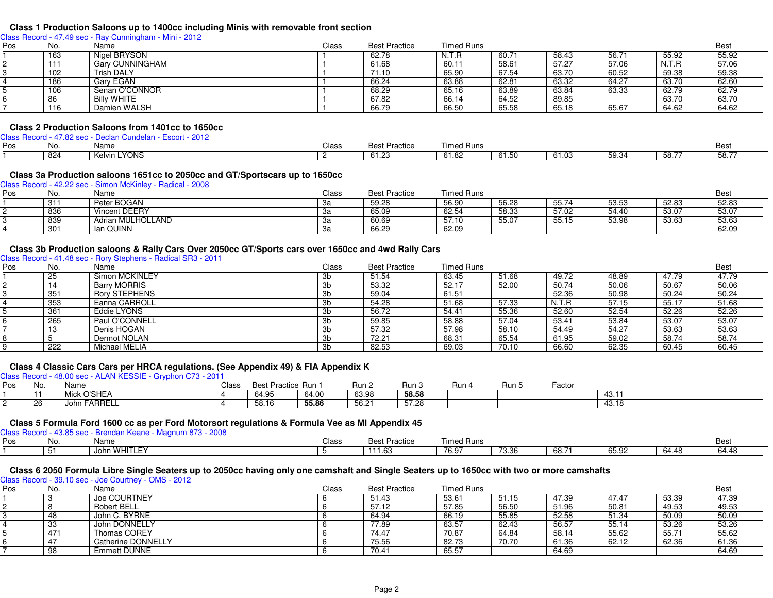#### **Class 1 Production Saloons up to 1400cc including Minis with removable front section**

Class Record - 47.49 sec - Ray Cunningham - Mini - 2012

| Pos | No.    | Name                   | Class | <b>Best Practice</b> | <b>Timed Runs</b> |                |       |       |       | <b>Best</b> |
|-----|--------|------------------------|-------|----------------------|-------------------|----------------|-------|-------|-------|-------------|
|     | 163    | Nigel BRYSON           |       | 62.78                | N.T.R             | $60.7^{\circ}$ | 58.43 | 56.7  | 55.92 | 55.92       |
|     | -1-1-1 | <b>Gary CUNNINGHAM</b> |       | 61.68                | 60.11             | 58.61          | 57.27 | 57.06 | N.T.R | 57.06       |
|     | 102    | <b>Trish DALY</b>      |       | 71.10                | 65.90             | 67.54          | 63.70 | 60.52 | 59.38 | 59.38       |
|     | 186    | Gary EGAN              |       | 66.24                | 63.88             | 62.81          | 63.32 | 64.27 | 63.70 | 62.60       |
|     | 106    | Senan O'CONNOR         |       | 68.29                | 65.16             | 63.89          | 63.84 | 63.33 | 62.79 | 62.79       |
|     | 86     | <b>Billy WHITE</b>     |       | 67.82                | 66.14             | 64.52          | 89.85 |       | 63.70 | 63.70       |
|     | 116    | Damien WALSH           |       | 66.79                | 66.50             | 65.58          | 65.18 | 65.67 | 64.62 | 64.62       |
|     |        |                        |       |                      |                   |                |       |       |       |             |

#### **Class 2 Production Saloons from 1401cc to 1650cc**

Class Record - 47.82 sec - Declan Cundelan - Escort - 2012

| Pos | No  | Name            | Class | ⊔ ה∩<br>ractice        | Fimed Runs    |        |       |       |      | Bes   |
|-----|-----|-----------------|-------|------------------------|---------------|--------|-------|-------|------|-------|
|     | 824 | 'YONS<br>Kelvin |       | 0.400<br><b>b</b> 1.23 | 0100<br>01.82 | D I .C | 61.03 | 59.34 | 58.7 | 58.77 |

#### **Class 3a Production saloons 1651cc to 2050cc and GT/Sportscars up to 1650cc**

Class Record - 42.22 sec - Simon McKinley - Radical - 2008PosNo. Name<br>311 Peter BOGAN e entity of the Class Best Practice Timed Runs and the entity of the Best Best Practice Best Practice Best Practice Best Practice Best Practice Best Practice Best Practice Best Practice Best Practice Best Practice Best Pra 11 311 Peter BOGAN 3a 59.28 56.90 56.28 55.74 53.53 52.83 52.83 22 836 Vincent DEERY 3a 65.09 62.54 58.33 57.02 54.40 53.07 53.07 33 839 Adrian MULHOLLAND 3a 60.69 57.10 55.07 55.15 53.98 53.63 53.63 4

### **Class 3b Production saloons & Rally Cars Over 2050cc GT/Sports cars over 1650cc and 4wd Rally Cars**

Class Record - 41.48 sec - Rory Stephens - Radical SR3 - 2011

| Pos | No. | Name                 | Class | <b>Best Practice</b> | <b>Timed Runs</b> |       |       |       |       | <b>Best</b> |
|-----|-----|----------------------|-------|----------------------|-------------------|-------|-------|-------|-------|-------------|
|     | 25  | Simon MCKINLEY       | Зb    | 51.54                | 63.45             | 51.68 | 49.72 | 48.89 | 47.79 | 47.79       |
|     |     | <b>Barry MORRIS</b>  | 3b    | 53.32                | 52.17             | 52.00 | 50.74 | 50.06 | 50.67 | 50.06       |
|     | 351 | <b>Rory STEPHENS</b> | Зb    | 59.04                | 61.51             |       | 52.36 | 50.98 | 50.24 | 50.24       |
|     | 353 | Eanna CARROLL        | Зb    | 54.28                | 51.68             | 57.33 | N.T.R | 57.15 | 55.17 | 51.68       |
|     | 361 | Eddie LYONS          | 3b    | 56.72                | 54.41             | 55.36 | 52.60 | 52.54 | 52.26 | 52.26       |
|     | 265 | Paul O'CONNELL       | 3b    | 59.85                | 58.88             | 57.04 | 53.41 | 53.84 | 53.07 | 53.07       |
|     | 13  | Denis HOGAN          | 3b    | 57.32                | 57.98             | 58.10 | 54.49 | 54.27 | 53.63 | 53.63       |
|     |     | Dermot NOLAN         | Зb    | 72.21                | 68.31             | 65.54 | 61.95 | 59.02 | 58.74 | 58.74       |
|     | 222 | Michael MELIA        | Зb    | 82.53                | 69.03             | 70.10 | 66.60 | 62.35 | 60.45 | 60.45       |

4 301 | Ian QUINN | 2009 | 2009 | 2009 | 2009 | 2010 | 2010 | 2020 | 2030 | 2030 | 2030 | 2030 | 2040 | 2030 | 2030 | 2030 | 2030 | 2030 | 2030 | 2030 | 2030 | 2030 | 2030 | 2030 | 2030 | 2030 | 2030 | 2030 | 2030 | 2030 |

#### **Class 4 Classic Cars Cars per HRCA regulations. (See Appendix 49) & FIA Appendix K**

Class Record - 48.00 sec - ALAN KESSIE - Gryphon C73 - 2011

| Pos | No.  | .<br>Name      | Class | Best Practice Run 1                |       | Run 2 | Run 3 | Run | Run 5 | Factor |       |  |
|-----|------|----------------|-------|------------------------------------|-------|-------|-------|-----|-------|--------|-------|--|
|     | -4-4 | O'SHEA<br>Mici |       | $C_A$ $\Omega$<br>64.YJ            | 64.00 | 63.98 | 58.58 |     |       |        | 43.I. |  |
|     | 26   | John FARRELL   |       | $EQ + C$<br>$\sim$<br><b>UU.IU</b> | 55.86 | 56.21 | 57.28 |     |       |        | 43.18 |  |

## **Class 5 Formula Ford 1600 cc as per Ford Motorsort regulations & Formula Vee as MI Appendix 45** Class Record - 43.85 sec - Brendan Keane - Magnum 873 - 2008

| Pos | <b>ING</b> | Name              | Class | <b>Best Practice</b> | <b>Fimed Runs</b> |                |       |       |       | Bes،  |
|-----|------------|-------------------|-------|----------------------|-------------------|----------------|-------|-------|-------|-------|
|     | -53<br>◡   | N WHITLEY<br>Johr |       | 111.63               | 76.97             | 70.00<br>73.36 | 68.71 | 65.92 | 64.48 | 64.48 |

#### **Class 6 2050 Formula Libre Single Seaters up to 2050cc having only one camshaft and Single Seaters up to 1650cc with two or more camshafts**

Class Record - 39.10 sec - Joe Courtney - OMS - 2012

| Pos | No. | Name               | Class | <b>Best Practice</b> | Timed Runs |       |       |       |       | <b>Best</b> |
|-----|-----|--------------------|-------|----------------------|------------|-------|-------|-------|-------|-------------|
|     |     | Joe COURTNEY       |       | 51.43                | 53.61      | 51.15 | 47.39 | 47.47 | 53.39 | 47.39       |
|     |     | Robert BELL        |       | 57.12                | 57.85      | 56.50 | 51.96 | 50.81 | 49.53 | 49.53       |
|     | 48  | John C. BYRNE      |       | 64.94                | 66.19      | 55.85 | 52.58 | 51.34 | 50.09 | 50.09       |
|     | 33  | John DONNELLY      |       | 77.89                | 63.57      | 62.43 | 56.57 | 55.14 | 53.26 | 53.26       |
|     | 471 | Thomas COREY       |       | 74.47                | 70.87      | 64.84 | 58.14 | 55.62 | 55.71 | 55.62       |
|     |     | Catherine DONNELLY |       | 75.56                | 82.73      | 70.70 | 61.36 | 62.12 | 62.36 | 61.36       |
|     | 98  | Emmett DUNNE       |       | 70.41                | 65.57      |       | 64.69 |       |       | 64.69       |